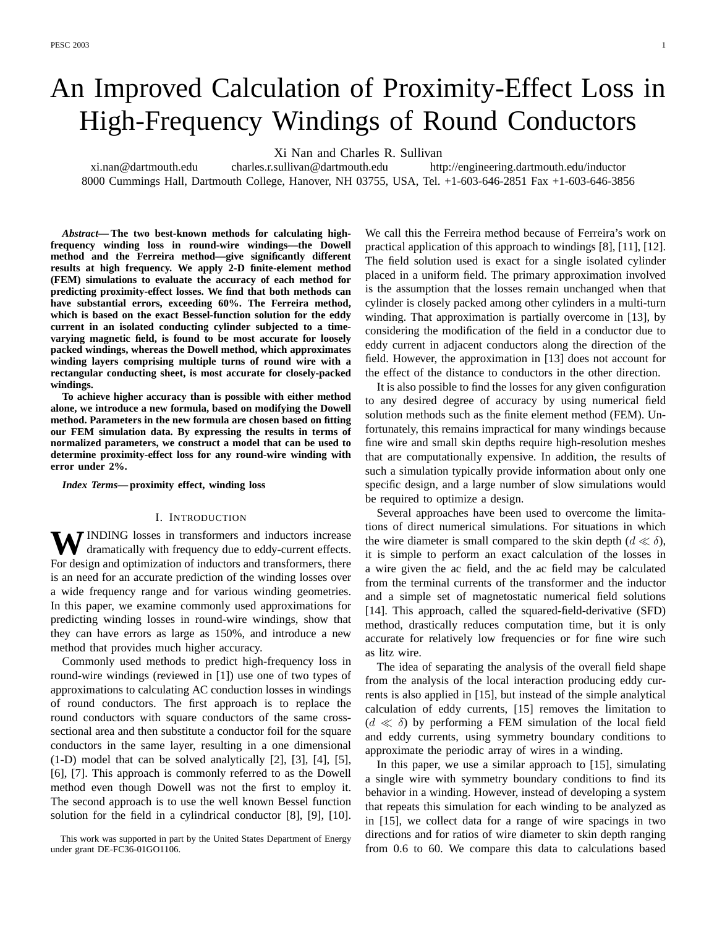# An Improved Calculation of Proximity-Effect Loss in High-Frequency Windings of Round Conductors

Xi Nan and Charles R. Sullivan

xi.nan@dartmouth.edu charles.r.sullivan@dartmouth.edu http://engineering.dartmouth.edu/inductor 8000 Cummings Hall, Dartmouth College, Hanover, NH 03755, USA, Tel. +1-603-646-2851 Fax +1-603-646-3856

*Abstract***— The two best-known methods for calculating highfrequency winding loss in round-wire windings—the Dowell method and the Ferreira method—give significantly different results at high frequency. We apply 2-D finite-element method (FEM) simulations to evaluate the accuracy of each method for predicting proximity-effect losses. We find that both methods can have substantial errors, exceeding 60%. The Ferreira method, which is based on the exact Bessel-function solution for the eddy current in an isolated conducting cylinder subjected to a timevarying magnetic field, is found to be most accurate for loosely packed windings, whereas the Dowell method, which approximates winding layers comprising multiple turns of round wire with a rectangular conducting sheet, is most accurate for closely-packed windings.**

**To achieve higher accuracy than is possible with either method alone, we introduce a new formula, based on modifying the Dowell method. Parameters in the new formula are chosen based on fitting our FEM simulation data. By expressing the results in terms of normalized parameters, we construct a model that can be used to determine proximity-effect loss for any round-wire winding with error under 2%.**

*Index Terms***— proximity effect, winding loss**

## I. INTRODUCTION

WINDING losses in transformers and inductors increase dramatically with frequency due to eddy-current effects. For design and optimization of inductors and transformers, there is an need for an accurate prediction of the winding losses over a wide frequency range and for various winding geometries. In this paper, we examine commonly used approximations for predicting winding losses in round-wire windings, show that they can have errors as large as 150%, and introduce a new method that provides much higher accuracy.

Commonly used methods to predict high-frequency loss in round-wire windings (reviewed in [1]) use one of two types of approximations to calculating AC conduction losses in windings of round conductors. The first approach is to replace the round conductors with square conductors of the same crosssectional area and then substitute a conductor foil for the square conductors in the same layer, resulting in a one dimensional (1-D) model that can be solved analytically [2], [3], [4], [5], [6], [7]. This approach is commonly referred to as the Dowell method even though Dowell was not the first to employ it. The second approach is to use the well known Bessel function solution for the field in a cylindrical conductor [8], [9], [10].

We call this the Ferreira method because of Ferreira's work on practical application of this approach to windings [8], [11], [12]. The field solution used is exact for a single isolated cylinder placed in a uniform field. The primary approximation involved is the assumption that the losses remain unchanged when that cylinder is closely packed among other cylinders in a multi-turn winding. That approximation is partially overcome in [13], by considering the modification of the field in a conductor due to eddy current in adjacent conductors along the direction of the field. However, the approximation in [13] does not account for the effect of the distance to conductors in the other direction.

It is also possible to find the losses for any given configuration to any desired degree of accuracy by using numerical field solution methods such as the finite element method (FEM). Unfortunately, this remains impractical for many windings because fine wire and small skin depths require high-resolution meshes that are computationally expensive. In addition, the results of such a simulation typically provide information about only one specific design, and a large number of slow simulations would be required to optimize a design.

Several approaches have been used to overcome the limitations of direct numerical simulations. For situations in which the wire diameter is small compared to the skin depth  $(d \ll \delta)$ , it is simple to perform an exact calculation of the losses in a wire given the ac field, and the ac field may be calculated from the terminal currents of the transformer and the inductor and a simple set of magnetostatic numerical field solutions [14]. This approach, called the squared-field-derivative (SFD) method, drastically reduces computation time, but it is only accurate for relatively low frequencies or for fine wire such as litz wire.

The idea of separating the analysis of the overall field shape from the analysis of the local interaction producing eddy currents is also applied in [15], but instead of the simple analytical calculation of eddy currents, [15] removes the limitation to  $(d \ll \delta)$  by performing a FEM simulation of the local field and eddy currents, using symmetry boundary conditions to approximate the periodic array of wires in a winding.

In this paper, we use a similar approach to [15], simulating a single wire with symmetry boundary conditions to find its behavior in a winding. However, instead of developing a system that repeats this simulation for each winding to be analyzed as in [15], we collect data for a range of wire spacings in two directions and for ratios of wire diameter to skin depth ranging from 0.6 to 60. We compare this data to calculations based

This work was supported in part by the United States Department of Energy under grant DE-FC36-01GO1106.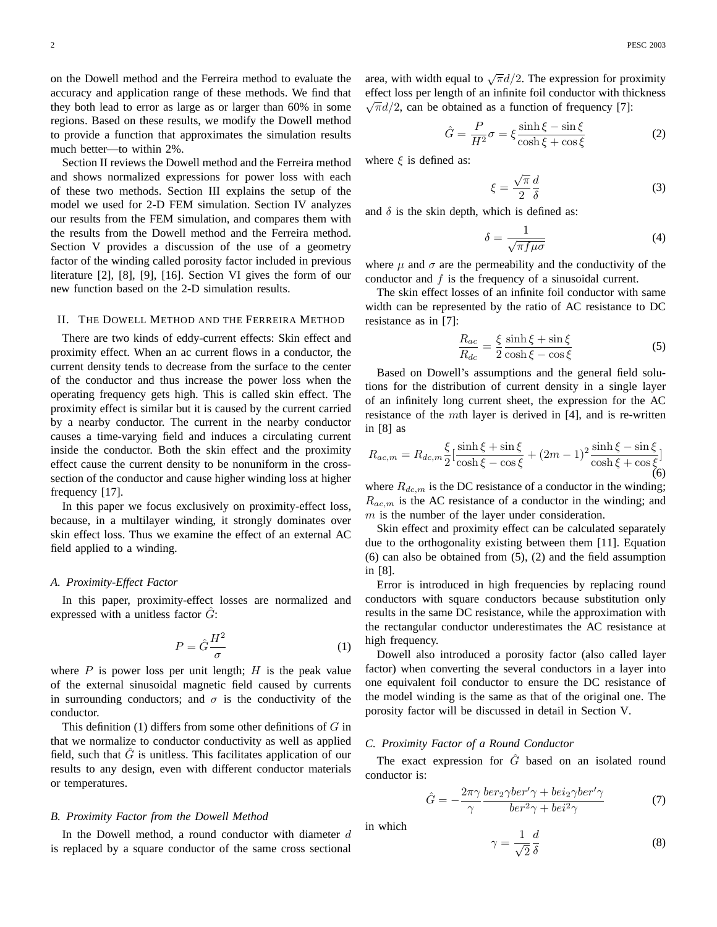on the Dowell method and the Ferreira method to evaluate the accuracy and application range of these methods. We find that they both lead to error as large as or larger than 60% in some regions. Based on these results, we modify the Dowell method to provide a function that approximates the simulation results much better—to within 2%.

Section II reviews the Dowell method and the Ferreira method and shows normalized expressions for power loss with each of these two methods. Section III explains the setup of the model we used for 2-D FEM simulation. Section IV analyzes our results from the FEM simulation, and compares them with the results from the Dowell method and the Ferreira method. Section V provides a discussion of the use of a geometry factor of the winding called porosity factor included in previous literature [2], [8], [9], [16]. Section VI gives the form of our new function based on the 2-D simulation results.

## II. THE DOWELL METHOD AND THE FERREIRA METHOD

There are two kinds of eddy-current effects: Skin effect and proximity effect. When an ac current flows in a conductor, the current density tends to decrease from the surface to the center of the conductor and thus increase the power loss when the operating frequency gets high. This is called skin effect. The proximity effect is similar but it is caused by the current carried by a nearby conductor. The current in the nearby conductor causes a time-varying field and induces a circulating current inside the conductor. Both the skin effect and the proximity effect cause the current density to be nonuniform in the crosssection of the conductor and cause higher winding loss at higher frequency [17].

In this paper we focus exclusively on proximity-effect loss, because, in a multilayer winding, it strongly dominates over skin effect loss. Thus we examine the effect of an external AC field applied to a winding.

## *A. Proximity-Effect Factor*

In this paper, proximity-effect losses are normalized and expressed with a unitless factor  $G$ :

$$
P = \hat{G}\frac{H^2}{\sigma} \tag{1}
$$

where  $P$  is power loss per unit length;  $H$  is the peak value of the external sinusoidal magnetic field caused by currents in surrounding conductors; and  $\sigma$  is the conductivity of the conductor.

This definition (1) differs from some other definitions of  $G$  in that we normalize to conductor conductivity as well as applied field, such that  $\hat{G}$  is unitless. This facilitates application of our results to any design, even with different conductor materials or temperatures.

## *B. Proximity Factor from the Dowell Method*

In the Dowell method, a round conductor with diameter  $d$ is replaced by a square conductor of the same cross sectional area, with width equal to  $\sqrt{\pi}d/2$ . The expression for proximity effect loss per length of an infinite foil conductor with thickness  $\sqrt{a}$  $\sqrt{\pi}d/2$ , can be obtained as a function of frequency [7]:

$$
\hat{G} = \frac{P}{H^2}\sigma = \xi \frac{\sinh \xi - \sin \xi}{\cosh \xi + \cos \xi}
$$
 (2)

where  $\xi$  is defined as:

$$
\xi = \frac{\sqrt{\pi}}{2} \frac{d}{\delta} \tag{3}
$$

and  $\delta$  is the skin depth, which is defined as:

$$
\delta = \frac{1}{\sqrt{\pi f \mu \sigma}}\tag{4}
$$

where  $\mu$  and  $\sigma$  are the permeability and the conductivity of the conductor and  $f$  is the frequency of a sinusoidal current.

The skin effect losses of an infinite foil conductor with same width can be represented by the ratio of AC resistance to DC resistance as in [7]:

$$
\frac{R_{ac}}{R_{dc}} = \frac{\xi}{2} \frac{\sinh \xi + \sin \xi}{\cosh \xi - \cos \xi}
$$
(5)

Based on Dowell's assumptions and the general field solutions for the distribution of current density in a single layer of an infinitely long current sheet, the expression for the AC resistance of the mth layer is derived in [4], and is re-written in [8] as

$$
R_{ac,m} = R_{dc,m} \frac{\xi}{2} \left[ \frac{\sinh \xi + \sin \xi}{\cosh \xi - \cos \xi} + (2m - 1)^2 \frac{\sinh \xi - \sin \xi}{\cosh \xi + \cos \xi} \right]
$$
(6)

where  $R_{dc,m}$  is the DC resistance of a conductor in the winding;  $R_{ac,m}$  is the AC resistance of a conductor in the winding; and  $m$  is the number of the layer under consideration.

Skin effect and proximity effect can be calculated separately due to the orthogonality existing between them [11]. Equation (6) can also be obtained from (5), (2) and the field assumption in [8].

Error is introduced in high frequencies by replacing round conductors with square conductors because substitution only results in the same DC resistance, while the approximation with the rectangular conductor underestimates the AC resistance at high frequency.

Dowell also introduced a porosity factor (also called layer factor) when converting the several conductors in a layer into one equivalent foil conductor to ensure the DC resistance of the model winding is the same as that of the original one. The porosity factor will be discussed in detail in Section V.

## *C. Proximity Factor of a Round Conductor*

The exact expression for  $\hat{G}$  based on an isolated round conductor is:

$$
\hat{G} = -\frac{2\pi\gamma}{\gamma} \frac{ber_2 \gamma ber' \gamma + bei_2 \gamma ber' \gamma}{ber^2 \gamma + bei^2 \gamma} \tag{7}
$$

in which

$$
\gamma = \frac{1}{\sqrt{2}} \frac{d}{\delta} \tag{8}
$$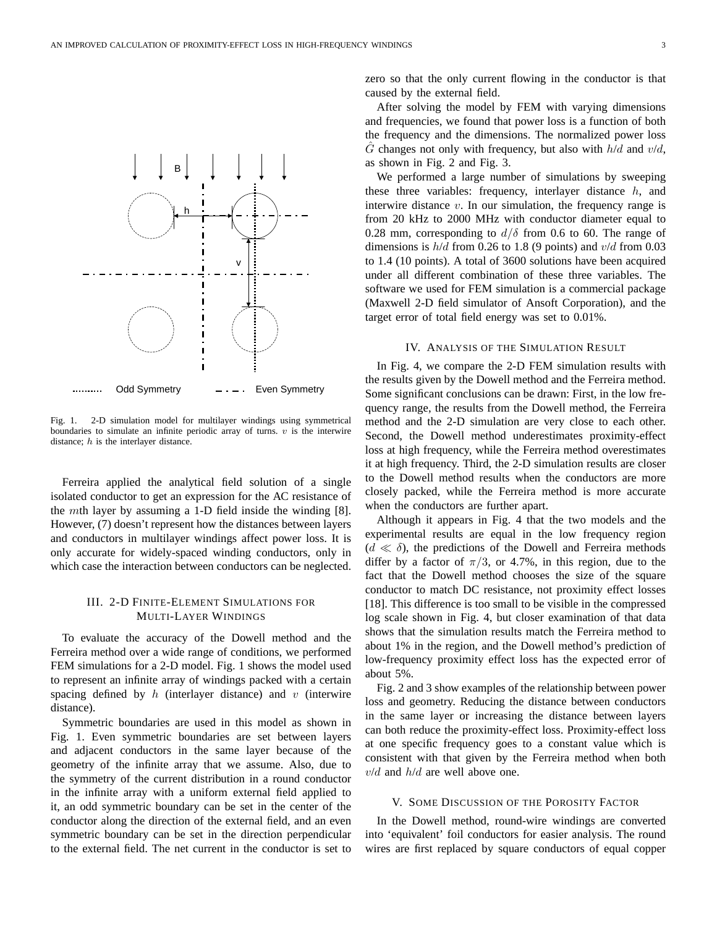

Fig. 1. 2-D simulation model for multilayer windings using symmetrical boundaries to simulate an infinite periodic array of turns.  $v$  is the interwire distance;  $h$  is the interlayer distance.

Ferreira applied the analytical field solution of a single isolated conductor to get an expression for the AC resistance of the mth layer by assuming a 1-D field inside the winding [8]. However, (7) doesn't represent how the distances between layers and conductors in multilayer windings affect power loss. It is only accurate for widely-spaced winding conductors, only in which case the interaction between conductors can be neglected.

# III. 2-D FINITE-ELEMENT SIMULATIONS FOR MULTI-LAYER WINDINGS

To evaluate the accuracy of the Dowell method and the Ferreira method over a wide range of conditions, we performed FEM simulations for a 2-D model. Fig. 1 shows the model used to represent an infinite array of windings packed with a certain spacing defined by  $h$  (interlayer distance) and  $v$  (interwire distance).

Symmetric boundaries are used in this model as shown in Fig. 1. Even symmetric boundaries are set between layers and adjacent conductors in the same layer because of the geometry of the infinite array that we assume. Also, due to the symmetry of the current distribution in a round conductor in the infinite array with a uniform external field applied to it, an odd symmetric boundary can be set in the center of the conductor along the direction of the external field, and an even symmetric boundary can be set in the direction perpendicular to the external field. The net current in the conductor is set to zero so that the only current flowing in the conductor is that caused by the external field.

After solving the model by FEM with varying dimensions and frequencies, we found that power loss is a function of both the frequency and the dimensions. The normalized power loss  $\ddot{G}$  changes not only with frequency, but also with  $h/d$  and  $v/d$ , as shown in Fig. 2 and Fig. 3.

We performed a large number of simulations by sweeping these three variables: frequency, interlayer distance  $h$ , and interwire distance  $v$ . In our simulation, the frequency range is from 20 kHz to 2000 MHz with conductor diameter equal to 0.28 mm, corresponding to  $d/\delta$  from 0.6 to 60. The range of dimensions is  $h/d$  from 0.26 to 1.8 (9 points) and  $v/d$  from 0.03 to 1.4 (10 points). A total of 3600 solutions have been acquired under all different combination of these three variables. The software we used for FEM simulation is a commercial package (Maxwell 2-D field simulator of Ansoft Corporation), and the target error of total field energy was set to 0.01%.

#### IV. ANALYSIS OF THE SIMULATION RESULT

In Fig. 4, we compare the 2-D FEM simulation results with the results given by the Dowell method and the Ferreira method. Some significant conclusions can be drawn: First, in the low frequency range, the results from the Dowell method, the Ferreira method and the 2-D simulation are very close to each other. Second, the Dowell method underestimates proximity-effect loss at high frequency, while the Ferreira method overestimates it at high frequency. Third, the 2-D simulation results are closer to the Dowell method results when the conductors are more closely packed, while the Ferreira method is more accurate when the conductors are further apart.

Although it appears in Fig. 4 that the two models and the experimental results are equal in the low frequency region  $(d \ll \delta)$ , the predictions of the Dowell and Ferreira methods differ by a factor of  $\pi/3$ , or 4.7%, in this region, due to the fact that the Dowell method chooses the size of the square conductor to match DC resistance, not proximity effect losses [18]. This difference is too small to be visible in the compressed log scale shown in Fig. 4, but closer examination of that data shows that the simulation results match the Ferreira method to about 1% in the region, and the Dowell method's prediction of low-frequency proximity effect loss has the expected error of about 5%.

Fig. 2 and 3 show examples of the relationship between power loss and geometry. Reducing the distance between conductors in the same layer or increasing the distance between layers can both reduce the proximity-effect loss. Proximity-effect loss at one specific frequency goes to a constant value which is consistent with that given by the Ferreira method when both  $v/d$  and  $h/d$  are well above one.

#### V. SOME DISCUSSION OF THE POROSITY FACTOR

In the Dowell method, round-wire windings are converted into 'equivalent' foil conductors for easier analysis. The round wires are first replaced by square conductors of equal copper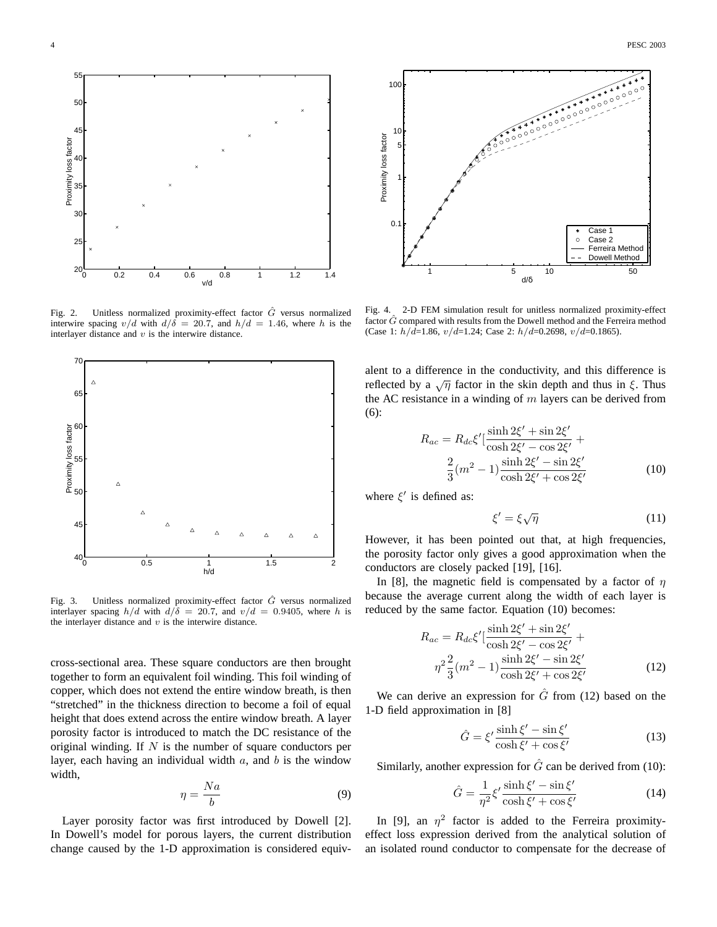

Fig. 2. Unitless normalized proximity-effect factor  $\hat{G}$  versus normalized interwire spacing  $v/d$  with  $d/\delta = 20.7$ , and  $h/d = 1.46$ , where h is the interlayer distance and  $v$  is the interwire distance.



Fig. 3. Unitless normalized proximity-effect factor  $\hat{G}$  versus normalized interlayer spacing  $h/d$  with  $d/\delta = 20.7$ , and  $v/d = 0.9405$ , where h is the interlayer distance and  $v$  is the interwire distance.

cross-sectional area. These square conductors are then brought together to form an equivalent foil winding. This foil winding of copper, which does not extend the entire window breath, is then "stretched" in the thickness direction to become a foil of equal height that does extend across the entire window breath. A layer porosity factor is introduced to match the DC resistance of the original winding. If  $N$  is the number of square conductors per layer, each having an individual width  $a$ , and  $b$  is the window width,

$$
\eta = \frac{Na}{b} \tag{9}
$$

Layer porosity factor was first introduced by Dowell [2]. In Dowell's model for porous layers, the current distribution change caused by the 1-D approximation is considered equiv-



Fig. 4. 2-D FEM simulation result for unitless normalized proximity-effect factor  $\hat{G}$  compared with results from the Dowell method and the Ferreira method (Case 1:  $h/\bar{d}$ =1.86,  $v/d$ =1.24; Case 2:  $h/d$ =0.2698,  $v/d$ =0.1865).

alent to a difference in the conductivity, and this difference is reflected by a  $\sqrt{\eta}$  factor in the skin depth and thus in ξ. Thus the AC resistance in a winding of  $m$  layers can be derived from (6):

$$
R_{ac} = R_{dc}\xi' \left[\frac{\sinh 2\xi' + \sin 2\xi'}{\cosh 2\xi' - \cos 2\xi'} + \frac{2}{3}(m^2 - 1)\frac{\sinh 2\xi' - \sin 2\xi'}{\cosh 2\xi' + \cos 2\xi'}\right]
$$
(10)

where  $\xi'$  is defined as:

$$
\xi' = \xi \sqrt{\eta} \tag{11}
$$

However, it has been pointed out that, at high frequencies, the porosity factor only gives a good approximation when the conductors are closely packed [19], [16].

In [8], the magnetic field is compensated by a factor of  $\eta$ because the average current along the width of each layer is reduced by the same factor. Equation (10) becomes:

$$
R_{ac} = R_{dc}\xi' \left[\frac{\sinh 2\xi' + \sin 2\xi'}{\cosh 2\xi' - \cos 2\xi'} + \eta^2 \frac{2}{3}(m^2 - 1)\frac{\sinh 2\xi' - \sin 2\xi'}{\cosh 2\xi' + \cos 2\xi'}\right]
$$
(12)

We can derive an expression for  $\hat{G}$  from (12) based on the 1-D field approximation in [8]

$$
\hat{G} = \xi' \frac{\sinh \xi' - \sin \xi'}{\cosh \xi' + \cos \xi'}
$$
\n(13)

Similarly, another expression for  $\hat{G}$  can be derived from (10):

$$
\hat{G} = \frac{1}{\eta^2} \xi' \frac{\sinh \xi' - \sin \xi'}{\cosh \xi' + \cos \xi'}
$$
(14)

In [9], an  $\eta^2$  factor is added to the Ferreira proximityeffect loss expression derived from the analytical solution of an isolated round conductor to compensate for the decrease of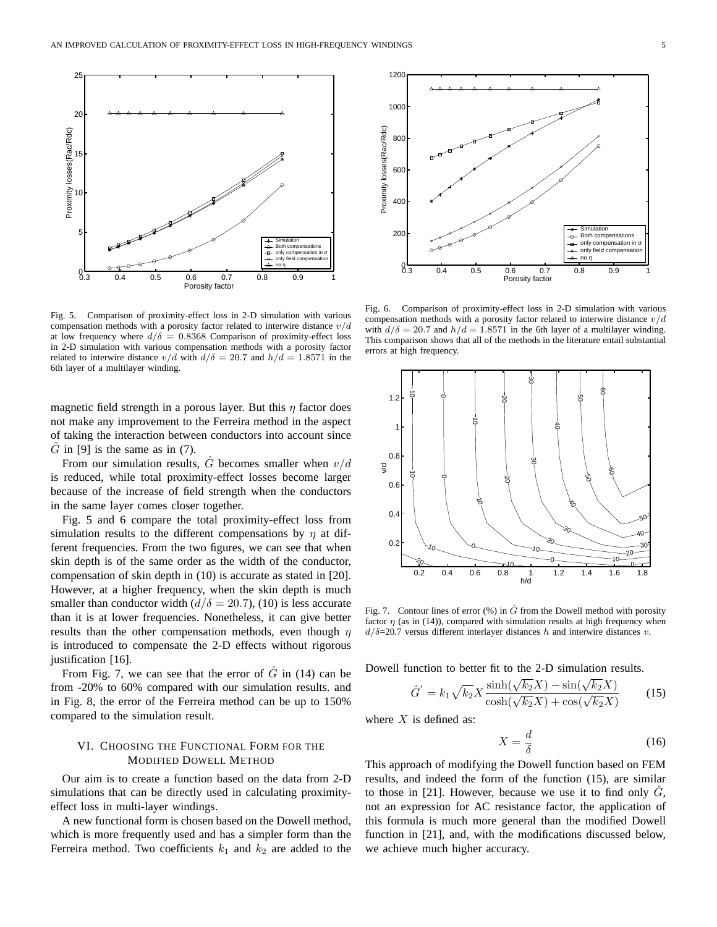

Fig. 5. Comparison of proximity-effect loss in 2-D simulation with various compensation methods with a porosity factor related to interwire distance  $v/d$ at low frequency where  $d/\delta = 0.8368$  Comparison of proximity-effect loss in 2-D simulation with various compensation methods with a porosity factor related to interwire distance  $v/d$  with  $d/\delta = 20.7$  and  $h/d = 1.8571$  in the 6th layer of a multilayer winding.

magnetic field strength in a porous layer. But this  $\eta$  factor does not make any improvement to the Ferreira method in the aspect of taking the interaction between conductors into account since  $\hat{G}$  in [9] is the same as in (7).

From our simulation results,  $\hat{G}$  becomes smaller when  $v/d$ is reduced, while total proximity-effect losses become larger because of the increase of field strength when the conductors in the same layer comes closer together.

Fig. 5 and 6 compare the total proximity-effect loss from simulation results to the different compensations by  $\eta$  at different frequencies. From the two figures, we can see that when skin depth is of the same order as the width of the conductor, compensation of skin depth in (10) is accurate as stated in [20]. However, at a higher frequency, when the skin depth is much smaller than conductor width  $(d/\delta = 20.7)$ , (10) is less accurate than it is at lower frequencies. Nonetheless, it can give better results than the other compensation methods, even though  $\eta$ is introduced to compensate the 2-D effects without rigorous justification [16].

From Fig. 7, we can see that the error of  $\tilde{G}$  in (14) can be from -20% to 60% compared with our simulation results. and in Fig. 8, the error of the Ferreira method can be up to 150% compared to the simulation result.

## VI. CHOOSING THE FUNCTIONAL FORM FOR THE MODIFIED DOWELL METHOD

Our aim is to create a function based on the data from 2-D simulations that can be directly used in calculating proximityeffect loss in multi-layer windings.

A new functional form is chosen based on the Dowell method, which is more frequently used and has a simpler form than the Ferreira method. Two coefficients  $k_1$  and  $k_2$  are added to the



Fig. 6. Comparison of proximity-effect loss in 2-D simulation with various compensation methods with a porosity factor related to interwire distance  $v/d$ with  $d/\delta = 20.7$  and  $h/d = 1.8571$  in the 6th layer of a multilayer winding. This comparison shows that all of the methods in the literature entail substantial errors at high frequency.



Fig. 7. Contour lines of error  $(\%)$  in  $\hat{G}$  from the Dowell method with porosity factor  $\eta$  (as in (14)), compared with simulation results at high frequency when  $d/\delta$ =20.7 versus different interlayer distances h and interwire distances v.

Dowell function to better fit to the 2-D simulation results.<br> $\hat{C} = \frac{1}{L} \sqrt{\frac{1}{2}} \sqrt{\sinh(\sqrt{k_2}X)} - \sin(\sqrt{k_2}X)$ 

$$
\hat{G}' = k_1 \sqrt{k_2} X \frac{\sinh(\sqrt{k_2}X) - \sin(\sqrt{k_2}X)}{\cosh(\sqrt{k_2}X) + \cos(\sqrt{k_2}X)}\tag{15}
$$

where  $X$  is defined as:

$$
X = \frac{d}{\delta} \tag{16}
$$

This approach of modifying the Dowell function based on FEM results, and indeed the form of the function (15), are similar to those in  $[21]$ . However, because we use it to find only  $G$ , not an expression for AC resistance factor, the application of this formula is much more general than the modified Dowell function in [21], and, with the modifications discussed below, we achieve much higher accuracy.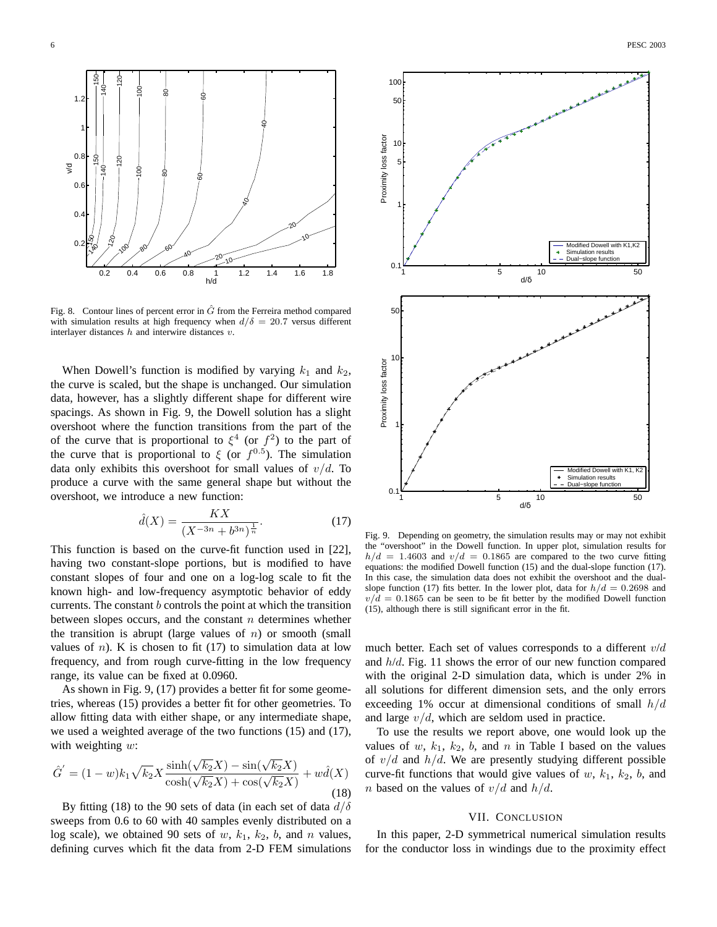

Fig. 8. Contour lines of percent error in  $\hat{G}$  from the Ferreira method compared with simulation results at high frequency when  $d/\delta = 20.7$  versus different interlayer distances  $h$  and interwire distances  $v$ .

When Dowell's function is modified by varying  $k_1$  and  $k_2$ , the curve is scaled, but the shape is unchanged. Our simulation data, however, has a slightly different shape for different wire spacings. As shown in Fig. 9, the Dowell solution has a slight overshoot where the function transitions from the part of the of the curve that is proportional to  $\xi^4$  (or  $f^2$ ) to the part of the curve that is proportional to  $\xi$  (or  $f^{0.5}$ ). The simulation data only exhibits this overshoot for small values of  $v/d$ . To produce a curve with the same general shape but without the overshoot, we introduce a new function:

$$
\hat{d}(X) = \frac{KX}{(X^{-3n} + b^{3n})^{\frac{1}{n}}}.
$$
\n(17)

This function is based on the curve-fit function used in [22], having two constant-slope portions, but is modified to have constant slopes of four and one on a log-log scale to fit the known high- and low-frequency asymptotic behavior of eddy currents. The constant  $b$  controls the point at which the transition between slopes occurs, and the constant  $n$  determines whether the transition is abrupt (large values of  $n$ ) or smooth (small values of  $n$ ). K is chosen to fit (17) to simulation data at low frequency, and from rough curve-fitting in the low frequency range, its value can be fixed at 0.0960.

As shown in Fig. 9, (17) provides a better fit for some geometries, whereas (15) provides a better fit for other geometries. To allow fitting data with either shape, or any intermediate shape, we used a weighted average of the two functions (15) and (17), with weighting  $w$ :

$$
\hat{G}' = (1 - w)k_1 \sqrt{k_2} X \frac{\sinh(\sqrt{k_2}X) - \sin(\sqrt{k_2}X)}{\cosh(\sqrt{k_2}X) + \cos(\sqrt{k_2}X)} + w\hat{d}(X)
$$
\n(18)

By fitting (18) to the 90 sets of data (in each set of data  $d/\delta$ sweeps from 0.6 to 60 with 40 samples evenly distributed on a log scale), we obtained 90 sets of  $w$ ,  $k_1$ ,  $k_2$ ,  $b$ , and  $n$  values, defining curves which fit the data from 2-D FEM simulations



Fig. 9. Depending on geometry, the simulation results may or may not exhibit the "overshoot" in the Dowell function. In upper plot, simulation results for  $h/d = 1.4603$  and  $v/d = 0.1865$  are compared to the two curve fitting equations: the modified Dowell function (15) and the dual-slope function (17). In this case, the simulation data does not exhibit the overshoot and the dualslope function (17) fits better. In the lower plot, data for  $h/d = 0.2698$  and  $v/d = 0.1865$  can be seen to be fit better by the modified Dowell function (15), although there is still significant error in the fit.

much better. Each set of values corresponds to a different  $v/d$ and  $h/d$ . Fig. 11 shows the error of our new function compared with the original 2-D simulation data, which is under 2% in all solutions for different dimension sets, and the only errors exceeding 1% occur at dimensional conditions of small  $h/d$ and large  $v/d$ , which are seldom used in practice.

To use the results we report above, one would look up the values of  $w$ ,  $k_1$ ,  $k_2$ ,  $b$ , and  $n$  in Table I based on the values of  $v/d$  and  $h/d$ . We are presently studying different possible curve-fit functions that would give values of  $w$ ,  $k_1$ ,  $k_2$ ,  $b$ , and *n* based on the values of  $v/d$  and  $h/d$ .

## VII. CONCLUSION

In this paper, 2-D symmetrical numerical simulation results for the conductor loss in windings due to the proximity effect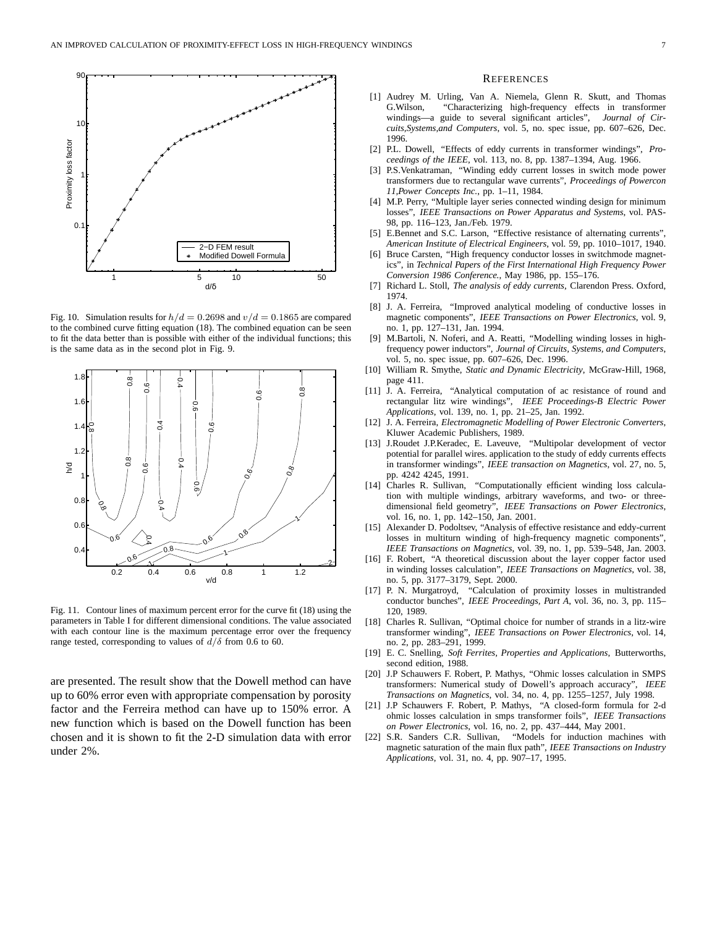

Fig. 10. Simulation results for  $h/d = 0.2698$  and  $v/d = 0.1865$  are compared to the combined curve fitting equation (18). The combined equation can be seen to fit the data better than is possible with either of the individual functions; this is the same data as in the second plot in Fig. 9.



Fig. 11. Contour lines of maximum percent error for the curve fit (18) using the parameters in Table I for different dimensional conditions. The value associated with each contour line is the maximum percentage error over the frequency range tested, corresponding to values of  $d/\delta$  from 0.6 to 60.

are presented. The result show that the Dowell method can have up to 60% error even with appropriate compensation by porosity factor and the Ferreira method can have up to 150% error. A new function which is based on the Dowell function has been chosen and it is shown to fit the 2-D simulation data with error under 2%.

#### **REFERENCES**

- [1] Audrey M. Urling, Van A. Niemela, Glenn R. Skutt, and Thomas G.Wilson, "Characterizing high-frequency effects in transformer windings—a guide to several significant articles", *Journal of Circuits,Systems,and Computers*, vol. 5, no. spec issue, pp. 607–626, Dec. 1996.
- [2] P.L. Dowell, "Effects of eddy currents in transformer windings", *Proceedings of the IEEE*, vol. 113, no. 8, pp. 1387–1394, Aug. 1966.
- [3] P.S.Venkatraman, "Winding eddy current losses in switch mode power transformers due to rectangular wave currents", *Proceedings of Powercon 11,Power Concepts Inc.*, pp. 1–11, 1984.
- [4] M.P. Perry, "Multiple layer series connected winding design for minimum losses", *IEEE Transactions on Power Apparatus and Systems*, vol. PAS-98, pp. 116–123, Jan./Feb. 1979.
- [5] E.Bennet and S.C. Larson, "Effective resistance of alternating currents", *American Institute of Electrical Engineers*, vol. 59, pp. 1010–1017, 1940.
- [6] Bruce Carsten, "High frequency conductor losses in switchmode magnetics", in *Technical Papers of the First International High Frequency Power Conversion 1986 Conference.*, May 1986, pp. 155–176.
- [7] Richard L. Stoll, *The analysis of eddy currents*, Clarendon Press. Oxford, 1974.
- [8] J. A. Ferreira, "Improved analytical modeling of conductive losses in magnetic components", *IEEE Transactions on Power Electronics*, vol. 9, no. 1, pp. 127–131, Jan. 1994.
- [9] M.Bartoli, N. Noferi, and A. Reatti, "Modelling winding losses in highfrequency power inductors", *Journal of Circuits, Systems, and Computers*, vol. 5, no. spec issue, pp. 607–626, Dec. 1996.
- [10] William R. Smythe, *Static and Dynamic Electricity*, McGraw-Hill, 1968, page 411.
- [11] J. A. Ferreira, "Analytical computation of ac resistance of round and rectangular litz wire windings", *IEEE Proceedings-B Electric Power Applications*, vol. 139, no. 1, pp. 21–25, Jan. 1992.
- [12] J. A. Ferreira, *Electromagnetic Modelling of Power Electronic Converters*, Kluwer Academic Publishers, 1989.
- [13] J.Roudet J.P.Keradec, E. Laveuve, "Multipolar development of vector potential for parallel wires. application to the study of eddy currents effects in transformer windings", *IEEE transaction on Magnetics*, vol. 27, no. 5, pp. 4242 4245, 1991.
- [14] Charles R. Sullivan, "Computationally efficient winding loss calculation with multiple windings, arbitrary waveforms, and two- or threedimensional field geometry", *IEEE Transactions on Power Electronics*, vol. 16, no. 1, pp. 142–150, Jan. 2001.
- [15] Alexander D. Podoltsev, "Analysis of effective resistance and eddy-current losses in multiturn winding of high-frequency magnetic components", *IEEE Transactions on Magnetics*, vol. 39, no. 1, pp. 539–548, Jan. 2003.
- [16] F. Robert, "A theoretical discussion about the layer copper factor used in winding losses calculation", *IEEE Transactions on Magnetics*, vol. 38, no. 5, pp. 3177–3179, Sept. 2000.
- [17] P. N. Murgatroyd, "Calculation of proximity losses in multistranded conductor bunches", *IEEE Proceedings, Part A*, vol. 36, no. 3, pp. 115– 120, 1989.
- [18] Charles R. Sullivan, "Optimal choice for number of strands in a litz-wire transformer winding", *IEEE Transactions on Power Electronics*, vol. 14, no. 2, pp. 283–291, 1999.
- [19] E. C. Snelling, *Soft Ferrites, Properties and Applications*, Butterworths, second edition, 1988.
- [20] J.P Schauwers F. Robert, P. Mathys, "Ohmic losses calculation in SMPS transformers: Numerical study of Dowell's approach accuracy", *IEEE Transactions on Magnetics*, vol. 34, no. 4, pp. 1255–1257, July 1998.
- [21] J.P Schauwers F. Robert, P. Mathys, "A closed-form formula for 2-d ohmic losses calculation in smps transformer foils", *IEEE Transactions on Power Electronics*, vol. 16, no. 2, pp. 437–444, May 2001.
- [22] S.R. Sanders C.R. Sullivan, "Models for induction machines with magnetic saturation of the main flux path", *IEEE Transactions on Industry Applications*, vol. 31, no. 4, pp. 907–17, 1995.